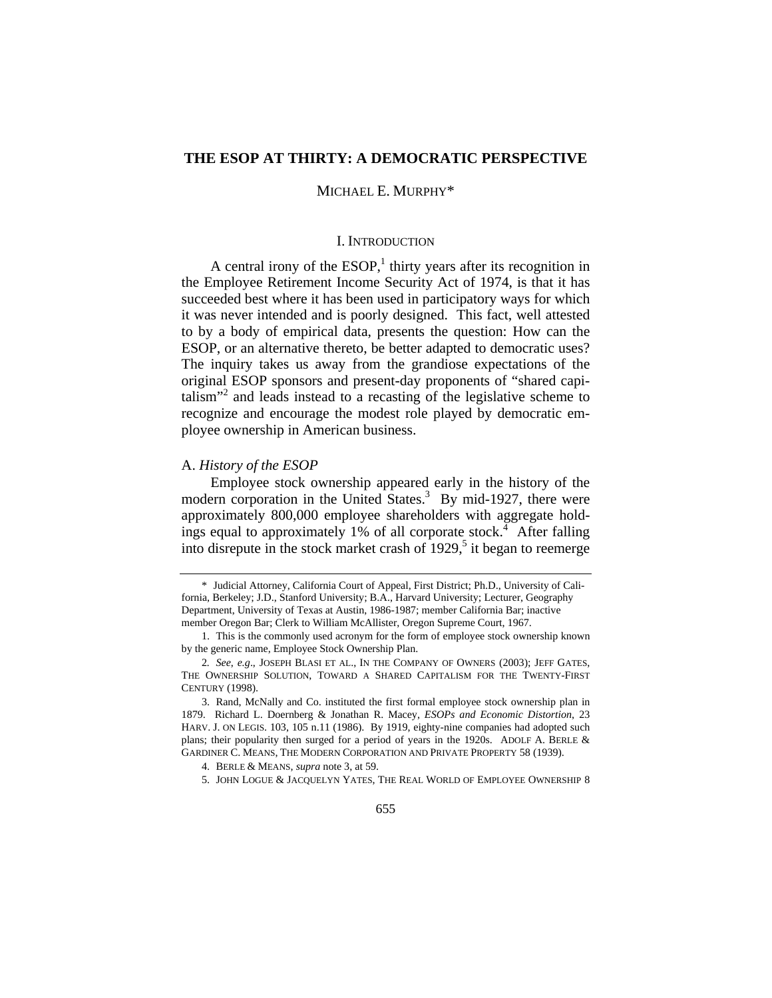## **THE ESOP AT THIRTY: A DEMOCRATIC PERSPECTIVE**

## MICHAEL E. MURPHY\*

## I. INTRODUCTION

A central irony of the  $ESOP<sup>1</sup>$ , thirty years after its recognition in the Employee Retirement Income Security Act of 1974, is that it has succeeded best where it has been used in participatory ways for which it was never intended and is poorly designed. This fact, well attested to by a body of empirical data, presents the question: How can the ESOP, or an alternative thereto, be better adapted to democratic uses? The inquiry takes us away from the grandiose expectations of the original ESOP sponsors and present-day proponents of "shared capitalism"<sup>2</sup> and leads instead to a recasting of the legislative scheme to recognize and encourage the modest role played by democratic employee ownership in American business.

## A. *History of the ESOP*

Employee stock ownership appeared early in the history of the modern corporation in the United States.<sup>3</sup> By mid-1927, there were approximately 800,000 employee shareholders with aggregate holdings equal to approximately  $1\%$  of all corporate stock.<sup>4</sup> After falling into disrepute in the stock market crash of  $1929<sup>5</sup>$  it began to reemerge

<sup>\*</sup> Judicial Attorney, California Court of Appeal, First District; Ph.D., University of California, Berkeley; J.D., Stanford University; B.A., Harvard University; Lecturer, Geography Department, University of Texas at Austin, 1986-1987; member California Bar; inactive member Oregon Bar; Clerk to William McAllister, Oregon Supreme Court, 1967.

<sup>1.</sup> This is the commonly used acronym for the form of employee stock ownership known by the generic name, Employee Stock Ownership Plan.

<sup>2</sup>*. See*, *e.g*., JOSEPH BLASI ET AL., IN THE COMPANY OF OWNERS (2003); JEFF GATES, THE OWNERSHIP SOLUTION, TOWARD A SHARED CAPITALISM FOR THE TWENTY-FIRST CENTURY (1998).

<sup>3.</sup> Rand, McNally and Co. instituted the first formal employee stock ownership plan in 1879. Richard L. Doernberg & Jonathan R. Macey, *ESOPs and Economic Distortion*, 23 HARV. J. ON LEGIS. 103, 105 n.11 (1986). By 1919, eighty-nine companies had adopted such plans; their popularity then surged for a period of years in the 1920s. ADOLF A. BERLE & GARDINER C. MEANS, THE MODERN CORPORATION AND PRIVATE PROPERTY 58 (1939).

<sup>4.</sup> BERLE & MEANS, *supra* note 3, at 59.

<sup>5.</sup> JOHN LOGUE & JACQUELYN YATES, THE REAL WORLD OF EMPLOYEE OWNERSHIP 8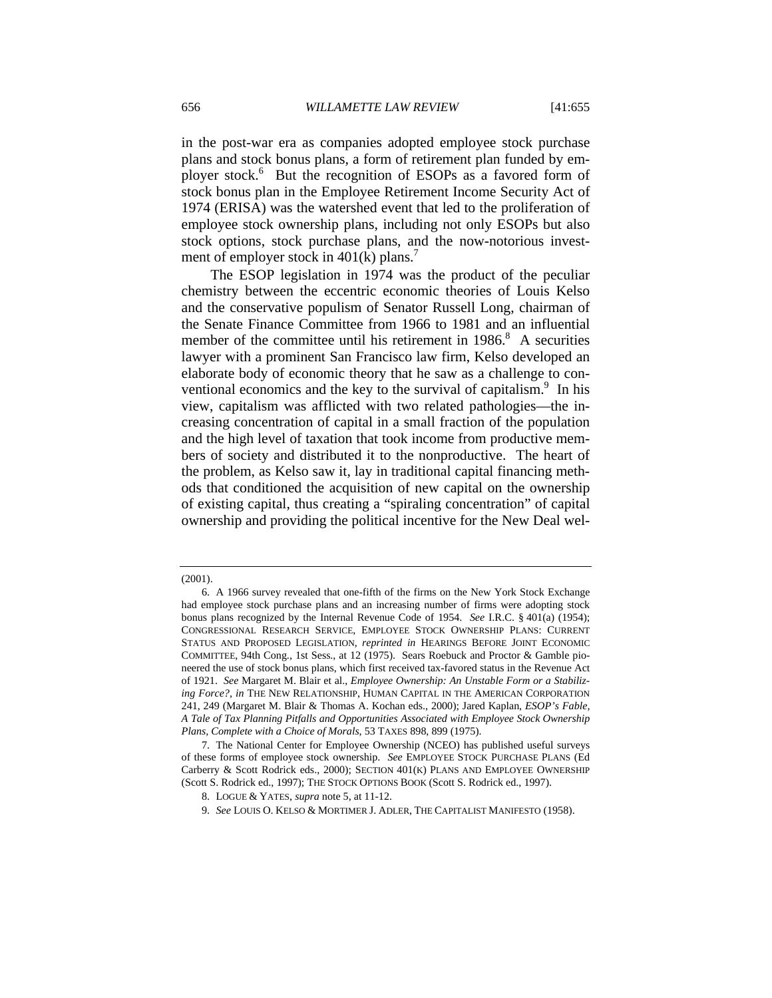in the post-war era as companies adopted employee stock purchase plans and stock bonus plans, a form of retirement plan funded by employer stock.<sup>6</sup> But the recognition of ESOPs as a favored form of stock bonus plan in the Employee Retirement Income Security Act of 1974 (ERISA) was the watershed event that led to the proliferation of employee stock ownership plans, including not only ESOPs but also stock options, stock purchase plans, and the now-notorious investment of employer stock in  $401(k)$  plans.<sup>7</sup>

The ESOP legislation in 1974 was the product of the peculiar chemistry between the eccentric economic theories of Louis Kelso and the conservative populism of Senator Russell Long, chairman of the Senate Finance Committee from 1966 to 1981 and an influential member of the committee until his retirement in  $1986$ <sup>8</sup>. A securities lawyer with a prominent San Francisco law firm, Kelso developed an elaborate body of economic theory that he saw as a challenge to conventional economics and the key to the survival of capitalism.<sup>9</sup> In his view, capitalism was afflicted with two related pathologies—the increasing concentration of capital in a small fraction of the population and the high level of taxation that took income from productive members of society and distributed it to the nonproductive. The heart of the problem, as Kelso saw it, lay in traditional capital financing methods that conditioned the acquisition of new capital on the ownership of existing capital, thus creating a "spiraling concentration" of capital ownership and providing the political incentive for the New Deal wel-

9. *See* LOUIS O. KELSO & MORTIMER J. ADLER, THE CAPITALIST MANIFESTO (1958).

<sup>(2001).</sup> 

<sup>6.</sup> A 1966 survey revealed that one-fifth of the firms on the New York Stock Exchange had employee stock purchase plans and an increasing number of firms were adopting stock bonus plans recognized by the Internal Revenue Code of 1954. *See* I.R.C. § 401(a) (1954); CONGRESSIONAL RESEARCH SERVICE, EMPLOYEE STOCK OWNERSHIP PLANS: CURRENT STATUS AND PROPOSED LEGISLATION, *reprinted in* HEARINGS BEFORE JOINT ECONOMIC COMMITTEE, 94th Cong., 1st Sess., at 12 (1975). Sears Roebuck and Proctor & Gamble pioneered the use of stock bonus plans, which first received tax-favored status in the Revenue Act of 1921. *See* Margaret M. Blair et al., *Employee Ownership: An Unstable Form or a Stabilizing Force?, in* THE NEW RELATIONSHIP, HUMAN CAPITAL IN THE AMERICAN CORPORATION 241, 249 (Margaret M. Blair & Thomas A. Kochan eds., 2000); Jared Kaplan, *ESOP's Fable, A Tale of Tax Planning Pitfalls and Opportunities Associated with Employee Stock Ownership Plans, Complete with a Choice of Morals*, 53 TAXES 898, 899 (1975).

<sup>7.</sup> The National Center for Employee Ownership (NCEO) has published useful surveys of these forms of employee stock ownership. *See* EMPLOYEE STOCK PURCHASE PLANS (Ed Carberry & Scott Rodrick eds., 2000); SECTION 401(K) PLANS AND EMPLOYEE OWNERSHIP (Scott S. Rodrick ed., 1997); THE STOCK OPTIONS BOOK (Scott S. Rodrick ed., 1997).

<sup>8.</sup> LOGUE & YATES, *supra* note 5, at 11-12.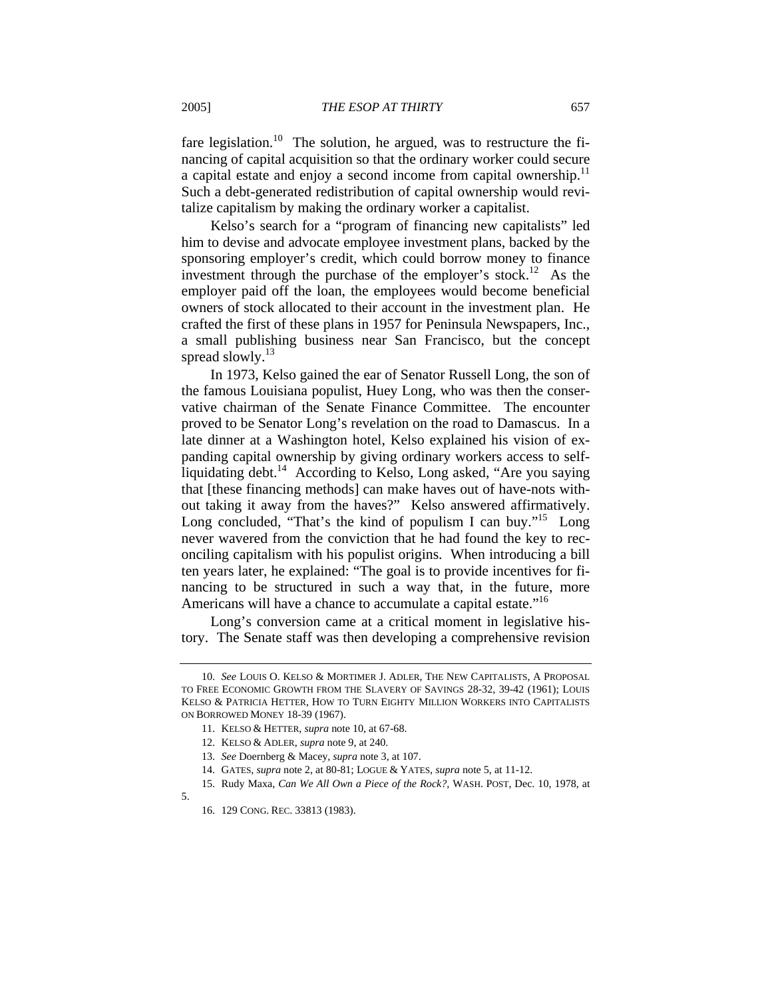fare legislation.<sup>10</sup> The solution, he argued, was to restructure the financing of capital acquisition so that the ordinary worker could secure a capital estate and enjoy a second income from capital ownership.<sup>11</sup> Such a debt-generated redistribution of capital ownership would revitalize capitalism by making the ordinary worker a capitalist.

Kelso's search for a "program of financing new capitalists" led him to devise and advocate employee investment plans, backed by the sponsoring employer's credit, which could borrow money to finance investment through the purchase of the employer's stock.<sup>12</sup> As the employer paid off the loan, the employees would become beneficial owners of stock allocated to their account in the investment plan. He crafted the first of these plans in 1957 for Peninsula Newspapers, Inc., a small publishing business near San Francisco, but the concept spread slowly. $^{13}$ 

In 1973, Kelso gained the ear of Senator Russell Long, the son of the famous Louisiana populist, Huey Long, who was then the conservative chairman of the Senate Finance Committee. The encounter proved to be Senator Long's revelation on the road to Damascus. In a late dinner at a Washington hotel, Kelso explained his vision of expanding capital ownership by giving ordinary workers access to selfliquidating debt.<sup>14</sup> According to Kelso, Long asked, "Are you saying that [these financing methods] can make haves out of have-nots without taking it away from the haves?" Kelso answered affirmatively. Long concluded, "That's the kind of populism I can buy."<sup>15</sup> Long never wavered from the conviction that he had found the key to reconciling capitalism with his populist origins. When introducing a bill ten years later, he explained: "The goal is to provide incentives for financing to be structured in such a way that, in the future, more Americans will have a chance to accumulate a capital estate."<sup>16</sup>

Long's conversion came at a critical moment in legislative history. The Senate staff was then developing a comprehensive revision

5.

<sup>10.</sup> *See* LOUIS O. KELSO & MORTIMER J. ADLER, THE NEW CAPITALISTS, A PROPOSAL TO FREE ECONOMIC GROWTH FROM THE SLAVERY OF SAVINGS 28-32, 39-42 (1961); LOUIS KELSO & PATRICIA HETTER, HOW TO TURN EIGHTY MILLION WORKERS INTO CAPITALISTS ON BORROWED MONEY 18-39 (1967).

<sup>11.</sup> KELSO & HETTER, *supra* note 10, at 67-68.

<sup>12.</sup> KELSO & ADLER, *supra* note 9, at 240.

<sup>13.</sup> *See* Doernberg & Macey, *supra* note 3, at 107.

<sup>14.</sup> GATES, *supra* note 2, at 80-81; LOGUE & YATES, *supra* note 5, at 11-12.

<sup>15.</sup> Rudy Maxa, *Can We All Own a Piece of the Rock?,* WASH. POST, Dec. 10, 1978, at

<sup>16. 129</sup> CONG. REC. 33813 (1983).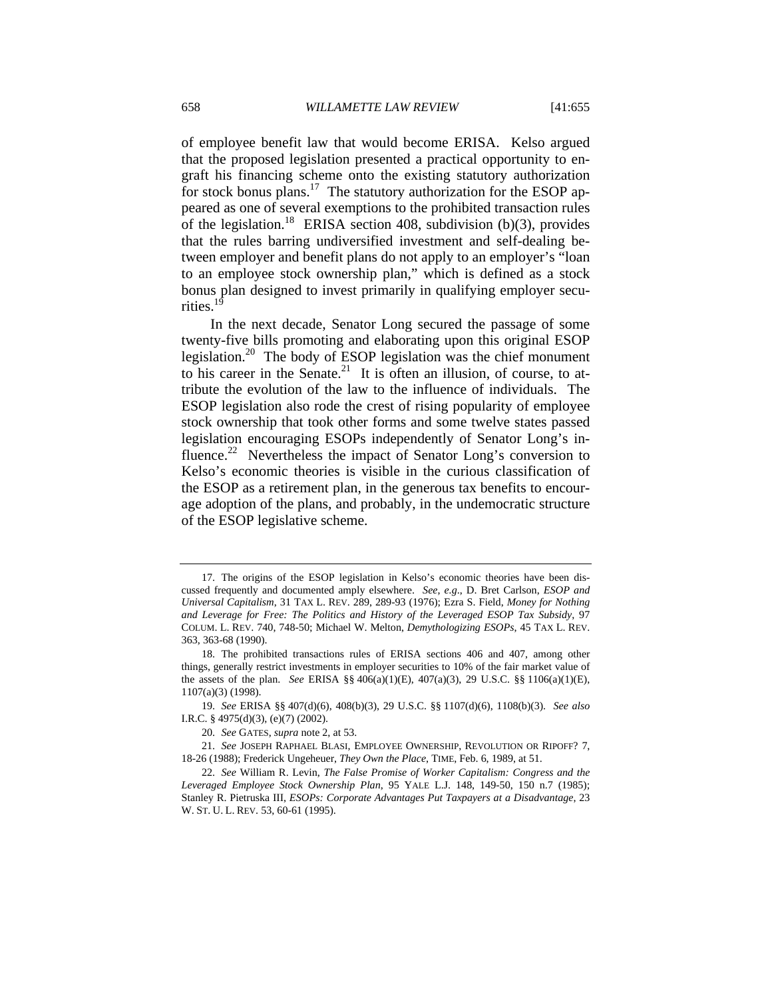of employee benefit law that would become ERISA. Kelso argued that the proposed legislation presented a practical opportunity to engraft his financing scheme onto the existing statutory authorization for stock bonus plans.<sup>17</sup> The statutory authorization for the ESOP appeared as one of several exemptions to the prohibited transaction rules of the legislation.<sup>18</sup> ERISA section 408, subdivision (b)(3), provides that the rules barring undiversified investment and self-dealing between employer and benefit plans do not apply to an employer's "loan to an employee stock ownership plan," which is defined as a stock bonus plan designed to invest primarily in qualifying employer securities. $1<sup>9</sup>$ 

In the next decade, Senator Long secured the passage of some twenty-five bills promoting and elaborating upon this original ESOP legislation.20 The body of ESOP legislation was the chief monument to his career in the Senate.<sup>21</sup> It is often an illusion, of course, to attribute the evolution of the law to the influence of individuals. The ESOP legislation also rode the crest of rising popularity of employee stock ownership that took other forms and some twelve states passed legislation encouraging ESOPs independently of Senator Long's influence.<sup>22</sup> Nevertheless the impact of Senator Long's conversion to Kelso's economic theories is visible in the curious classification of the ESOP as a retirement plan, in the generous tax benefits to encourage adoption of the plans, and probably, in the undemocratic structure of the ESOP legislative scheme.

<sup>17.</sup> The origins of the ESOP legislation in Kelso's economic theories have been discussed frequently and documented amply elsewhere. *See*, *e.g*., D. Bret Carlson, *ESOP and Universal Capitalism*, 31 TAX L. REV. 289, 289-93 (1976); Ezra S. Field, *Money for Nothing and Leverage for Free: The Politics and History of the Leveraged ESOP Tax Subsidy*, 97 COLUM. L. REV. 740, 748-50; Michael W. Melton, *Demythologizing ESOPs*, 45 TAX L. REV. 363, 363-68 (1990).

<sup>18.</sup> The prohibited transactions rules of ERISA sections 406 and 407, among other things, generally restrict investments in employer securities to 10% of the fair market value of the assets of the plan. *See* ERISA §§ 406(a)(1)(E), 407(a)(3), 29 U.S.C. §§ 1106(a)(1)(E), 1107(a)(3) (1998).

<sup>19.</sup> *See* ERISA §§ 407(d)(6), 408(b)(3), 29 U.S.C. §§ 1107(d)(6), 1108(b)(3). *See also* I.R.C. § 4975(d)(3), (e)(7) (2002).

<sup>20.</sup> *See* GATES, *supra* note 2, at 53.

<sup>21.</sup> *See* JOSEPH RAPHAEL BLASI, EMPLOYEE OWNERSHIP, REVOLUTION OR RIPOFF? 7, 18-26 (1988); Frederick Ungeheuer, *They Own the Place*, TIME, Feb. 6, 1989, at 51.

<sup>22.</sup> *See* William R. Levin, *The False Promise of Worker Capitalism: Congress and the Leveraged Employee Stock Ownership Plan*, 95 YALE L.J. 148, 149-50, 150 n.7 (1985); Stanley R. Pietruska III, *ESOPs: Corporate Advantages Put Taxpayers at a Disadvantage*, 23 W. ST. U. L. REV. 53, 60-61 (1995).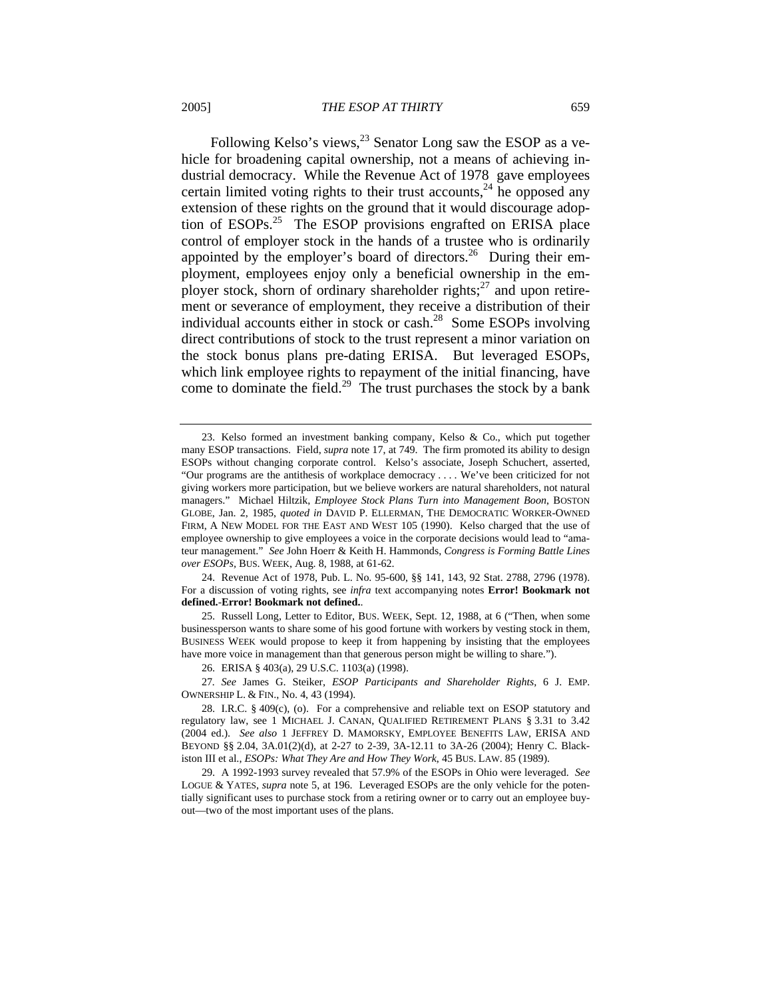Following Kelso's views,  $^{23}$  Senator Long saw the ESOP as a vehicle for broadening capital ownership, not a means of achieving industrial democracy. While the Revenue Act of 1978 gave employees certain limited voting rights to their trust accounts,  $24$  he opposed any extension of these rights on the ground that it would discourage adoption of ESOPs.<sup>25</sup> The ESOP provisions engrafted on ERISA place control of employer stock in the hands of a trustee who is ordinarily appointed by the employer's board of directors.<sup>26</sup> During their employment, employees enjoy only a beneficial ownership in the employer stock, shorn of ordinary shareholder rights; $^{27}$  and upon retirement or severance of employment, they receive a distribution of their individual accounts either in stock or cash.<sup>28</sup> Some ESOPs involving direct contributions of stock to the trust represent a minor variation on the stock bonus plans pre-dating ERISA. But leveraged ESOPs, which link employee rights to repayment of the initial financing, have come to dominate the field.<sup>29</sup> The trust purchases the stock by a bank

25. Russell Long, Letter to Editor, BUS. WEEK, Sept. 12, 1988, at 6 ("Then, when some businessperson wants to share some of his good fortune with workers by vesting stock in them, BUSINESS WEEK would propose to keep it from happening by insisting that the employees have more voice in management than that generous person might be willing to share.").

26. ERISA § 403(a), 29 U.S.C. 1103(a) (1998).

27*. See* James G. Steiker, *ESOP Participants and Shareholder Rights,* 6 J. EMP. OWNERSHIP L. & FIN., No. 4, 43 (1994).

<sup>23.</sup> Kelso formed an investment banking company, Kelso & Co., which put together many ESOP transactions. Field, *supra* note 17, at 749. The firm promoted its ability to design ESOPs without changing corporate control. Kelso's associate, Joseph Schuchert, asserted, "Our programs are the antithesis of workplace democracy . . . . We've been criticized for not giving workers more participation, but we believe workers are natural shareholders, not natural managers." Michael Hiltzik, *Employee Stock Plans Turn into Management Boon*, BOSTON GLOBE, Jan. 2, 1985, *quoted in* DAVID P. ELLERMAN, THE DEMOCRATIC WORKER-OWNED FIRM, A NEW MODEL FOR THE EAST AND WEST 105 (1990). Kelso charged that the use of employee ownership to give employees a voice in the corporate decisions would lead to "amateur management." *See* John Hoerr & Keith H. Hammonds, *Congress is Forming Battle Lines over ESOPs,* BUS. WEEK, Aug. 8, 1988, at 61-62.

<sup>24.</sup> Revenue Act of 1978, Pub. L. No. 95-600, §§ 141, 143, 92 Stat. 2788, 2796 (1978). For a discussion of voting rights, see *infra* text accompanying notes **Error! Bookmark not defined.**-**Error! Bookmark not defined.**.

<sup>28.</sup> I.R.C. § 409(c), (o). For a comprehensive and reliable text on ESOP statutory and regulatory law, see 1 MICHAEL J. CANAN, QUALIFIED RETIREMENT PLANS § 3.31 to 3.42 (2004 ed.). *See also* 1 JEFFREY D. MAMORSKY, EMPLOYEE BENEFITS LAW, ERISA AND BEYOND §§ 2.04, 3A.01(2)(d), at 2-27 to 2-39, 3A-12.11 to 3A-26 (2004); Henry C. Blackiston III et al., *ESOPs: What They Are and How They Work*, 45 BUS. LAW. 85 (1989).

<sup>29.</sup> A 1992-1993 survey revealed that 57.9% of the ESOPs in Ohio were leveraged. *See*  LOGUE & YATES, *supra* note 5, at 196. Leveraged ESOPs are the only vehicle for the potentially significant uses to purchase stock from a retiring owner or to carry out an employee buyout—two of the most important uses of the plans.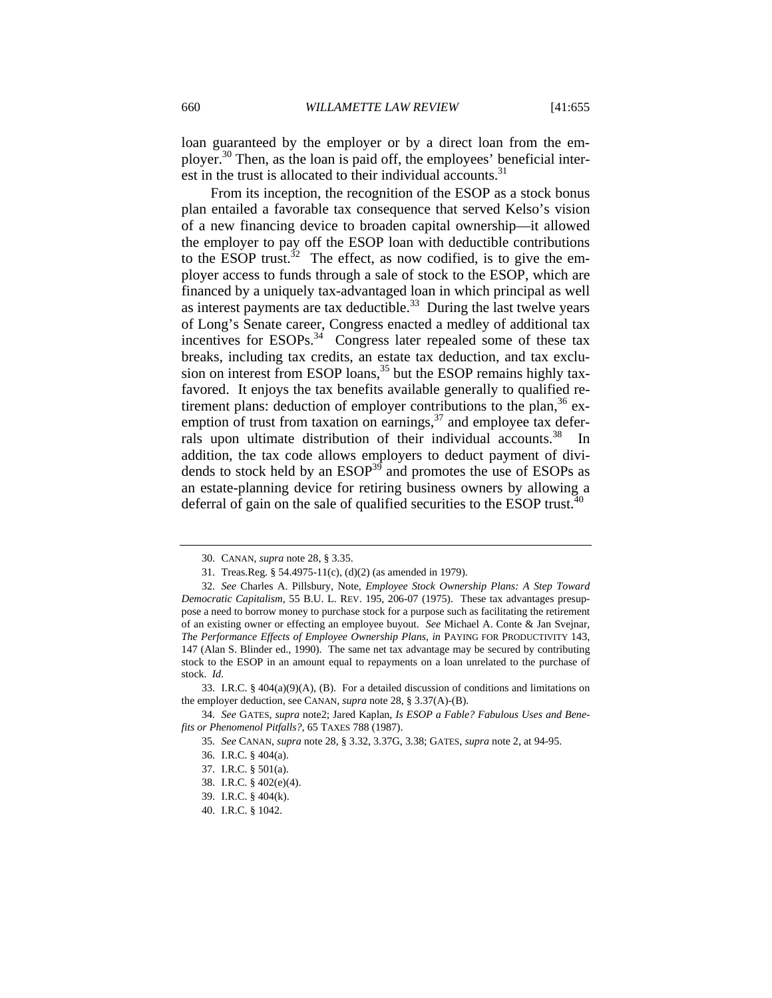loan guaranteed by the employer or by a direct loan from the employer.<sup>30</sup> Then, as the loan is paid off, the employees' beneficial interest in the trust is allocated to their individual accounts. $31$ 

From its inception, the recognition of the ESOP as a stock bonus plan entailed a favorable tax consequence that served Kelso's vision of a new financing device to broaden capital ownership—it allowed the employer to pay off the ESOP loan with deductible contributions to the ESOP trust.<sup>32</sup> The effect, as now codified, is to give the employer access to funds through a sale of stock to the ESOP, which are financed by a uniquely tax-advantaged loan in which principal as well as interest payments are tax deductible.<sup>33</sup> During the last twelve years of Long's Senate career, Congress enacted a medley of additional tax incentives for  $ESOPs<sup>34</sup>$  Congress later repealed some of these tax breaks, including tax credits, an estate tax deduction, and tax exclusion on interest from ESOP loans,<sup>35</sup> but the ESOP remains highly taxfavored. It enjoys the tax benefits available generally to qualified retirement plans: deduction of employer contributions to the plan,  $36$  exemption of trust from taxation on earnings,  $37$  and employee tax deferrals upon ultimate distribution of their individual accounts.<sup>38</sup> In addition, the tax code allows employers to deduct payment of dividends to stock held by an ESOP<sup>39</sup> and promotes the use of ESOPs as an estate-planning device for retiring business owners by allowing a deferral of gain on the sale of qualified securities to the ESOP trust.<sup>40</sup>

<sup>30.</sup> CANAN, *supra* note 28, § 3.35.

<sup>31.</sup> Treas.Reg. § 54.4975-11(c), (d)(2) (as amended in 1979).

<sup>32.</sup> *See* Charles A. Pillsbury, Note, *Employee Stock Ownership Plans: A Step Toward Democratic Capitalism,* 55 B.U. L. REV. 195, 206-07 (1975). These tax advantages presuppose a need to borrow money to purchase stock for a purpose such as facilitating the retirement of an existing owner or effecting an employee buyout. *See* Michael A. Conte & Jan Svejnar, *The Performance Effects of Employee Ownership Plans, in* PAYING FOR PRODUCTIVITY 143, 147 (Alan S. Blinder ed., 1990). The same net tax advantage may be secured by contributing stock to the ESOP in an amount equal to repayments on a loan unrelated to the purchase of stock. *Id.*

<sup>33.</sup> I.R.C. §  $404(a)(9)(A)$ , (B). For a detailed discussion of conditions and limitations on the employer deduction, see CANAN, *supra* note 28, § 3.37(A)-(B).

<sup>34.</sup> *See* GATES, *supra* note2; Jared Kaplan, *Is ESOP a Fable? Fabulous Uses and Benefits or Phenomenol Pitfalls?*, 65 TAXES 788 (1987).

<sup>35.</sup> *See* CANAN, *supra* note 28, § 3.32, 3.37G, 3.38; GATES, *supra* note 2, at 94-95.

<sup>36.</sup> I.R.C. § 404(a).

<sup>37.</sup> I.R.C. § 501(a).

<sup>38.</sup> I.R.C. § 402(e)(4).

<sup>39.</sup> I.R.C. § 404(k).

<sup>40.</sup> I.R.C. § 1042.